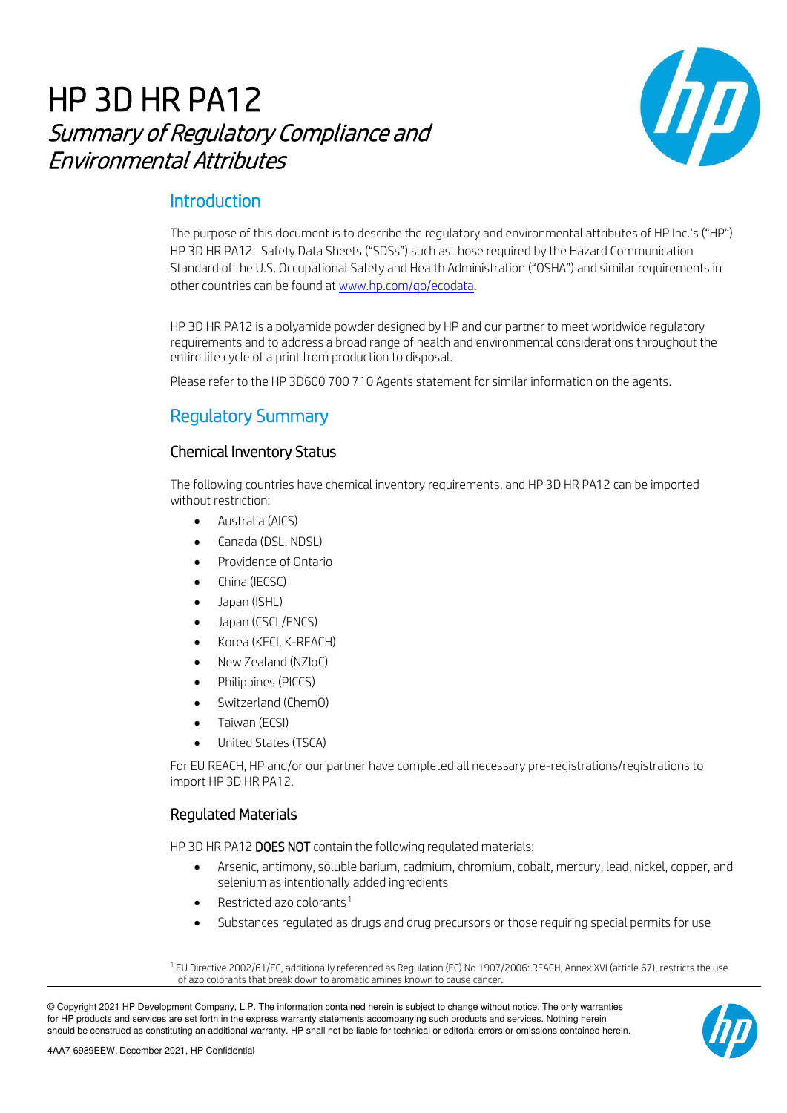# HP 3D HR PA12 Summary of Regulatory Compliance and Environmental Attributes



# **Introduction**

The purpose of this document is to describe the regulatory and environmental attributes of HP Inc.'s ("HP") HP 3D HR PA12. Safety Data Sheets ("SDSs") such as those required by the Hazard Communication Standard of the U.S. Occupational Safety and Health Administration ("OSHA") and similar requirements in other countries can be found at www.hp.com/go/ecodata.

HP 3D HR PA12 is a polyamide powder designed by HP and our partner to meet worldwide regulatory requirements and to address a broad range of health and environmental considerations throughout the entire life cycle of a print from production to disposal.

Please refer to the HP 3D600 700 710 Agents statement for similar information on the agents.

# Regulatory Summary

### Chemical Inventory Status

The following countries have chemical inventory requirements, and HP 3D HR PA12 can be imported without restriction:

- Australia (AICS)
- Canada (DSL, NDSL)
- Providence of Ontario
- China (IECSC)
- Japan (ISHL)
- Japan (CSCL/ENCS)
- Korea (KECI, K-REACH)
- New Zealand (NZIoC)
- Philippines (PICCS)
- Switzerland (ChemO)
- Taiwan (ECSI)
- United States (TSCA)

For EU REACH, HP and/or our partner have completed all necessary pre-registrations/registrations to import HP 3D HR PA12.

### Regulated Materials

HP 3D HR PA12 DOES NOT contain the following regulated materials:

- Arsenic, antimony, soluble barium, cadmium, chromium, cobalt, mercury, lead, nickel, copper, and selenium as intentionally added ingredients
- Restricted azo colorants [1](#page-0-0)
- Substances regulated as drugs and drug precursors or those reguiring special permits for use

<span id="page-0-0"></span><sup>1</sup> EU Directive 2002/61/EC, additionally referenced as Regulation (EC) No 1907/2006: REACH, Annex XVI (article 67), restricts the use of azo colorants that break down to aromatic amines known to cause cancer.

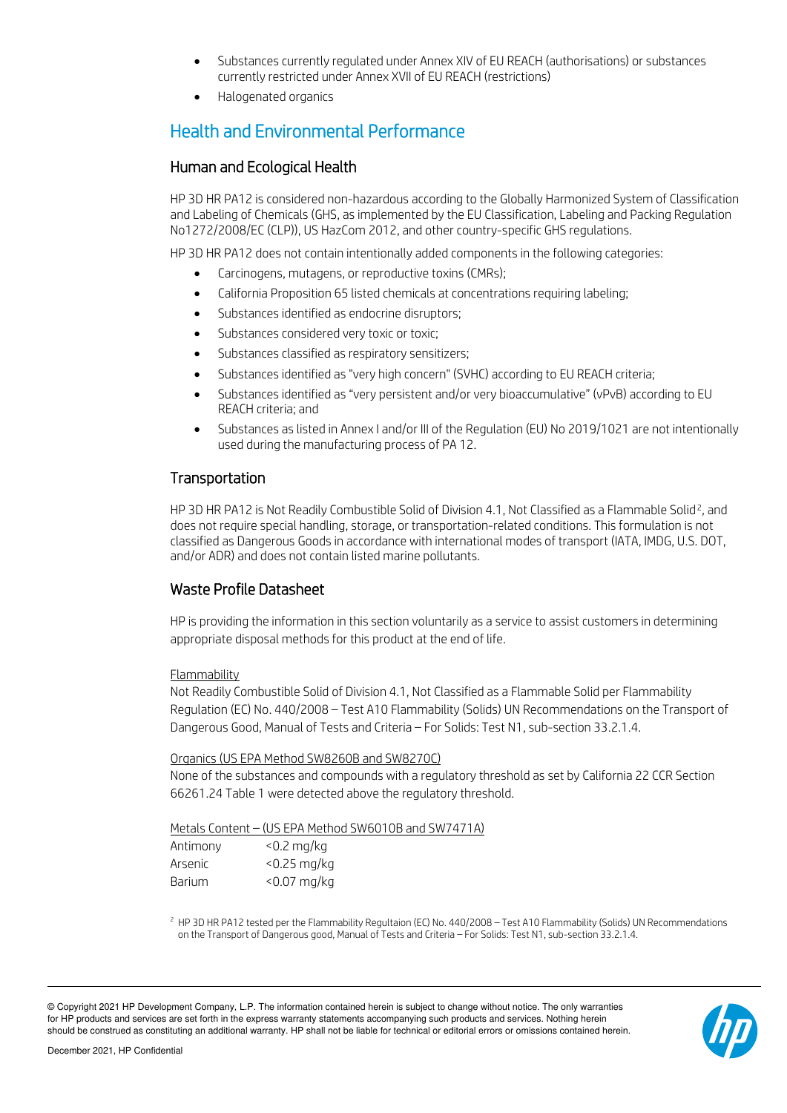- Substances currently regulated under Annex XIV of EU REACH (authorisations) or substances currently restricted under Annex XVII of EU REACH (restrictions)
- Halogenated organics

# Health and Environmental Performance

### Human and Ecological Health

HP 3D HR PA12 is considered non-hazardous according to the Globally Harmonized System of Classification and Labeling of Chemicals (GHS, as implemented by the EU Classification, Labeling and Packing Regulation No1272/2008/EC (CLP)), US HazCom 2012, and other country-specific GHS regulations.

HP 3D HR PA12 does not contain intentionally added components in the following categories:

- Carcinogens, mutagens, or reproductive toxins (CMRs);
- California Proposition 65 listed chemicals at concentrations requiring labeling;
- Substances identified as endocrine disruptors;
- Substances considered very toxic or toxic;
- Substances classified as respiratory sensitizers;
- Substances identified as "very high concern" (SVHC) according to EU REACH criteria;
- Substances identified as "very persistent and/or very bioaccumulative" (vPvB) according to EU REACH criteria; and
- Substances as listed in Annex I and/or III of the Regulation (EU) No 2019/1021 are not intentionally used during the manufacturing process of PA 12.

# **Transportation**

HP 3D HR PA1[2](#page-1-0) is Not Readily Combustible Solid of Division 4.1, Not Classified as a Flammable Solid<sup>2</sup>, and does not require special handling, storage, or transportation-related conditions. This formulation is not classified as Dangerous Goods in accordance with international modes of transport (IATA, IMDG, U.S. DOT, and/or ADR) and does not contain listed marine pollutants.

# Waste Profile Datasheet

HP is providing the information in this section voluntarily as a service to assist customers in determining appropriate disposal methods for this product at the end of life.

#### Flammability

Not Readily Combustible Solid of Division 4.1, Not Classified as a Flammable Solid per Flammability Regulation (EC) No. 440/2008 – Test A10 Flammability (Solids) UN Recommendations on the Transport of Dangerous Good, Manual of Tests and Criteria – For Solids: Test N1, sub-section 33.2.1.4.

#### Organics (US EPA Method SW8260B and SW8270C)

None of the substances and compounds with a regulatory threshold as set by California 22 CCR Section 66261.24 Table 1 were detected above the regulatory threshold.

#### Metals Content – (US EPA Method SW6010B and SW7471A)

| Antimony | $<$ 0.2 mg/kg  |
|----------|----------------|
| Arsenic  | $<$ 0.25 mg/kg |
| Barium   | $<$ 0.07 mg/kg |

<span id="page-1-0"></span><sup>2</sup> HP 3D HR PA12 tested per the Flammability Regultaion (EC) No. 440/2008 – Test A10 Flammability (Solids) UN Recommendations on the Transport of Dangerous good, Manual of Tests and Criteria – For Solids: Test N1, sub-section 33.2.1.4.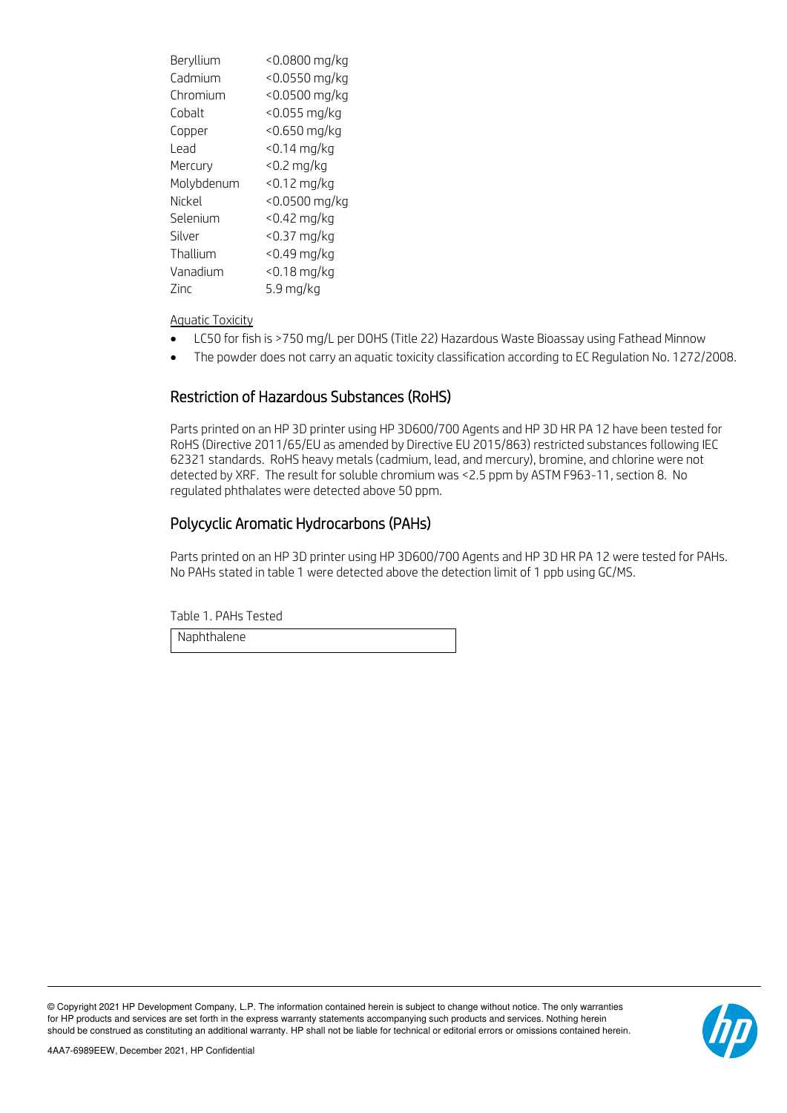| Beryllium  | <0.0800 mg/kg    |
|------------|------------------|
| Cadmium    | $< 0.0550$ mg/kg |
| Chromium   | $< 0.0500$ mg/kg |
| Cobalt     | <0.055 mg/kg     |
| Copper     | <0.650 mg/kg     |
| Lead       | $<$ 0.14 mg/kg   |
| Mercury    | $<$ 0.2 mg/kg    |
| Molybdenum | $< 0.12$ mg/kg   |
| Nickel     | <0.0500 mg/kg    |
| Selenium   | $<$ 0.42 mg/kg   |
| Silver     | <0.37 mg/kg      |
| Thallium   | <0.49 mg/kg      |
| Vanadium   | $< 0.18$ mg/kg   |
| Zinc       | 5.9 mg/kg        |

Aquatic Toxicity

- LC50 for fish is >750 mg/L per DOHS (Title 22) Hazardous Waste Bioassay using Fathead Minnow
- The powder does not carry an aquatic toxicity classification according to EC Regulation No. 1272/2008.

#### Restriction of Hazardous Substances (RoHS)

Parts printed on an HP 3D printer using HP 3D600/700 Agents and HP 3D HR PA 12 have been tested for RoHS (Directive 2011/65/EU as amended by Directive EU 2015/863) restricted substances following IEC 62321 standards. RoHS heavy metals (cadmium, lead, and mercury), bromine, and chlorine were not detected by XRF. The result for soluble chromium was <2.5 ppm by ASTM F963-11, section 8. No regulated phthalates were detected above 50 ppm.

#### Polycyclic Aromatic Hydrocarbons (PAHs)

Parts printed on an HP 3D printer using HP 3D600/700 Agents and HP 3D HR PA 12 were tested for PAHs. No PAHs stated in table 1 were detected above the detection limit of 1 ppb using GC/MS.

Table 1. PAHs Tested

Naphthalene

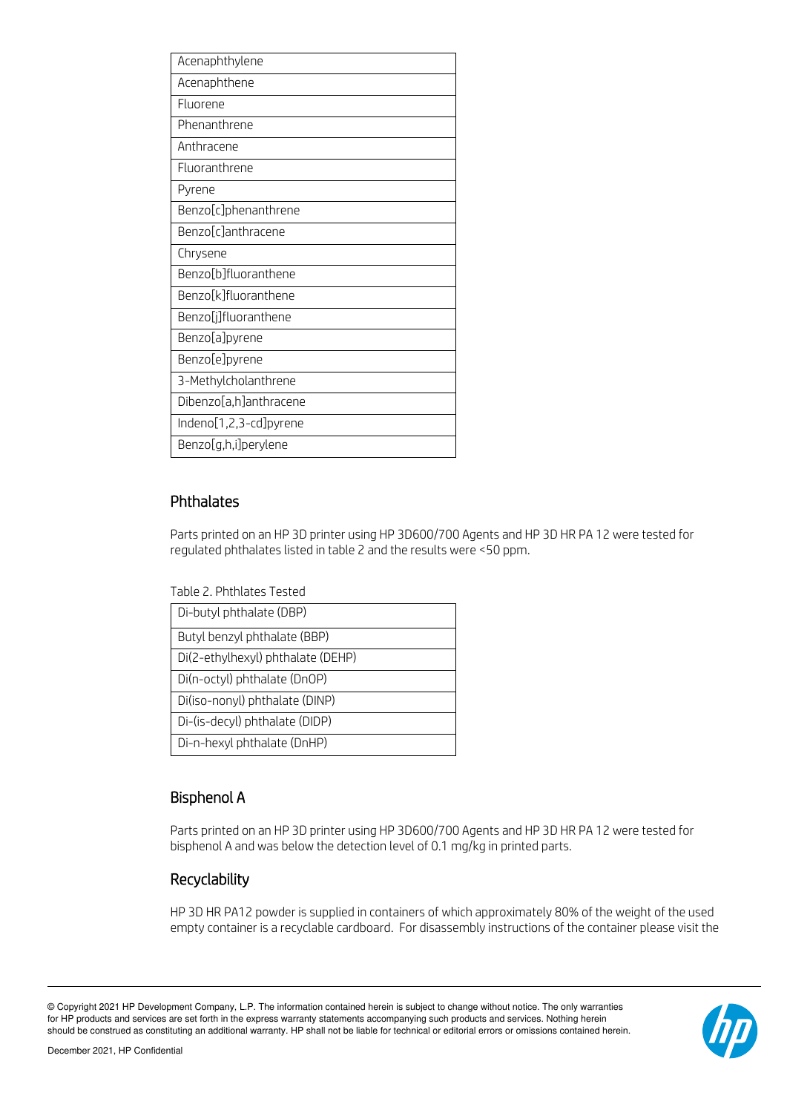| Acenaphthylene         |
|------------------------|
| Acenaphthene           |
| Fluorene               |
| Phenanthrene           |
| Anthracene             |
| Fluoranthrene          |
| Pyrene                 |
| Benzo[c]phenanthrene   |
| Benzo[c]anthracene     |
| Chrysene               |
| Benzo[b]fluoranthene   |
| Benzo[k]fluoranthene   |
| Benzo[j]fluoranthene   |
| Benzo[a]pyrene         |
| Benzo[e]pyrene         |
| 3-Methylcholanthrene   |
| Dibenzo[a,h]anthracene |
| Indeno[1,2,3-cd]pyrene |
| Benzo[g,h,i]perylene   |

### Phthalates

Parts printed on an HP 3D printer using HP 3D600/700 Agents and HP 3D HR PA 12 were tested for regulated phthalates listed in table 2 and the results were <50 ppm.

Table 2. Phthlates Tested

| Di-butyl phthalate (DBP)          |
|-----------------------------------|
| Butyl benzyl phthalate (BBP)      |
| Di(2-ethylhexyl) phthalate (DEHP) |
| Di(n-octyl) phthalate (DnOP)      |
| Di(iso-nonyl) phthalate (DINP)    |
| Di-(is-decyl) phthalate (DIDP)    |
| Di-n-hexyl phthalate (DnHP)       |

# Bisphenol A

Parts printed on an HP 3D printer using HP 3D600/700 Agents and HP 3D HR PA 12 were tested for bisphenol A and was below the detection level of 0.1 mg/kg in printed parts.

# Recyclability

HP 3D HR PA12 powder is supplied in containers of which approximately 80% of the weight of the used empty container is a recyclable cardboard. For disassembly instructions of the container please visit the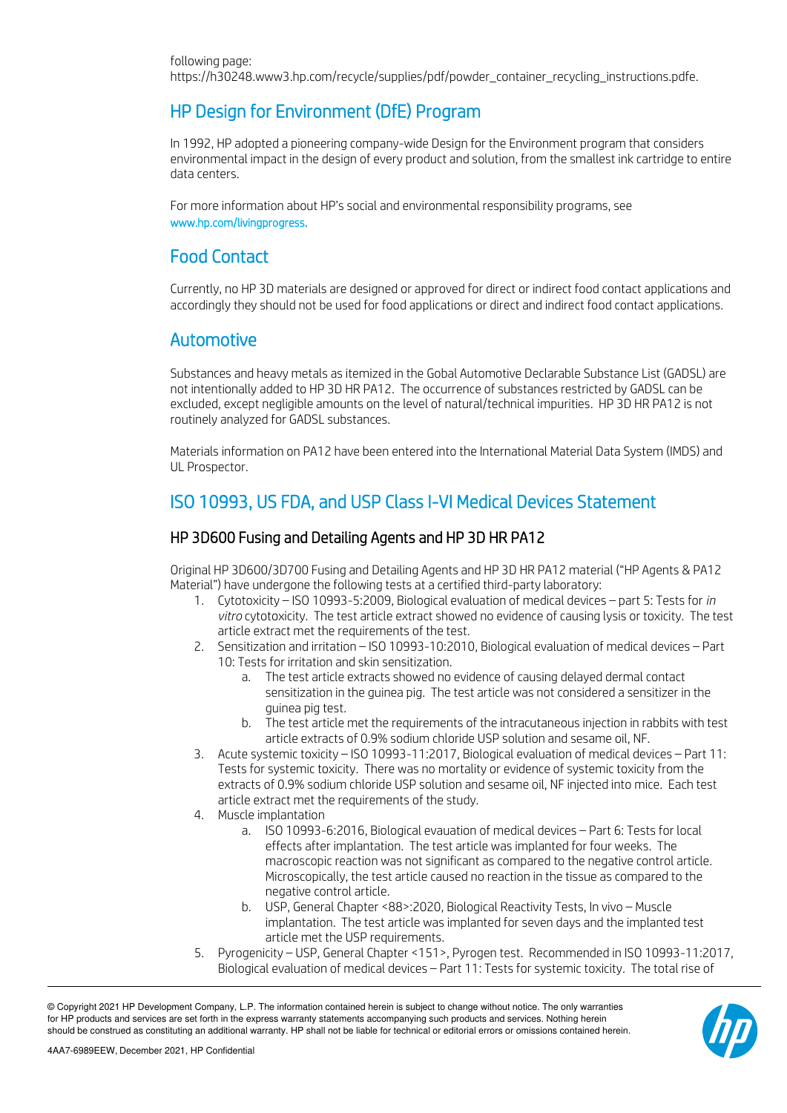# HP Design for Environment (DfE) Program

In 1992, HP adopted a pioneering company-wide Design for the Environment program that considers environmental impact in the design of every product and solution, from the smallest ink cartridge to entire data centers.

For more information about HP's social and environmental responsibility programs, see www.hp.com/livingprogress.

# Food Contact

Currently, no HP 3D materials are designed or approved for direct or indirect food contact applications and accordingly they should not be used for food applications or direct and indirect food contact applications.

# Automotive

Substances and heavy metals as itemized in the Gobal Automotive Declarable Substance List (GADSL) are not intentionally added to HP 3D HR PA12. The occurrence of substances restricted by GADSL can be excluded, except negligible amounts on the level of natural/technical impurities. HP 3D HR PA12 is not routinely analyzed for GADSL substances.

Materials information on PA12 have been entered into the International Material Data System (IMDS) and UL Prospector.

# ISO 10993, US FDA, and USP Class I-VI Medical Devices Statement

# HP 3D600 Fusing and Detailing Agents and HP 3D HR PA12

Original HP 3D600/3D700 Fusing and Detailing Agents and HP 3D HR PA12 material ("HP Agents & PA12 Material") have undergone the following tests at a certified third-party laboratory:

- 1. Cytotoxicity ISO 10993-5:2009, Biological evaluation of medical devices part 5: Tests for *in vitro* cytotoxicity. The test article extract showed no evidence of causing lysis or toxicity. The test article extract met the requirements of the test.
- 2. Sensitization and irritation ISO 10993-10:2010, Biological evaluation of medical devices Part 10: Tests for irritation and skin sensitization.
	- a. The test article extracts showed no evidence of causing delayed dermal contact sensitization in the guinea pig. The test article was not considered a sensitizer in the guinea pig test.
	- b. The test article met the requirements of the intracutaneous injection in rabbits with test article extracts of 0.9% sodium chloride USP solution and sesame oil, NF.
- 3. Acute systemic toxicity ISO 10993-11:2017, Biological evaluation of medical devices Part 11: Tests for systemic toxicity. There was no mortality or evidence of systemic toxicity from the extracts of 0.9% sodium chloride USP solution and sesame oil, NF injected into mice. Each test article extract met the requirements of the study.
- 4. Muscle implantation
	- a. ISO 10993-6:2016, Biological evauation of medical devices Part 6: Tests for local effects after implantation. The test article was implanted for four weeks. The macroscopic reaction was not significant as compared to the negative control article. Microscopically, the test article caused no reaction in the tissue as compared to the negative control article.
	- b. USP, General Chapter <88>:2020, Biological Reactivity Tests, In vivo Muscle implantation. The test article was implanted for seven days and the implanted test article met the USP requirements.
- 5. Pyrogenicity USP, General Chapter <151>, Pyrogen test. Recommended in ISO 10993-11:2017, Biological evaluation of medical devices – Part 11: Tests for systemic toxicity. The total rise of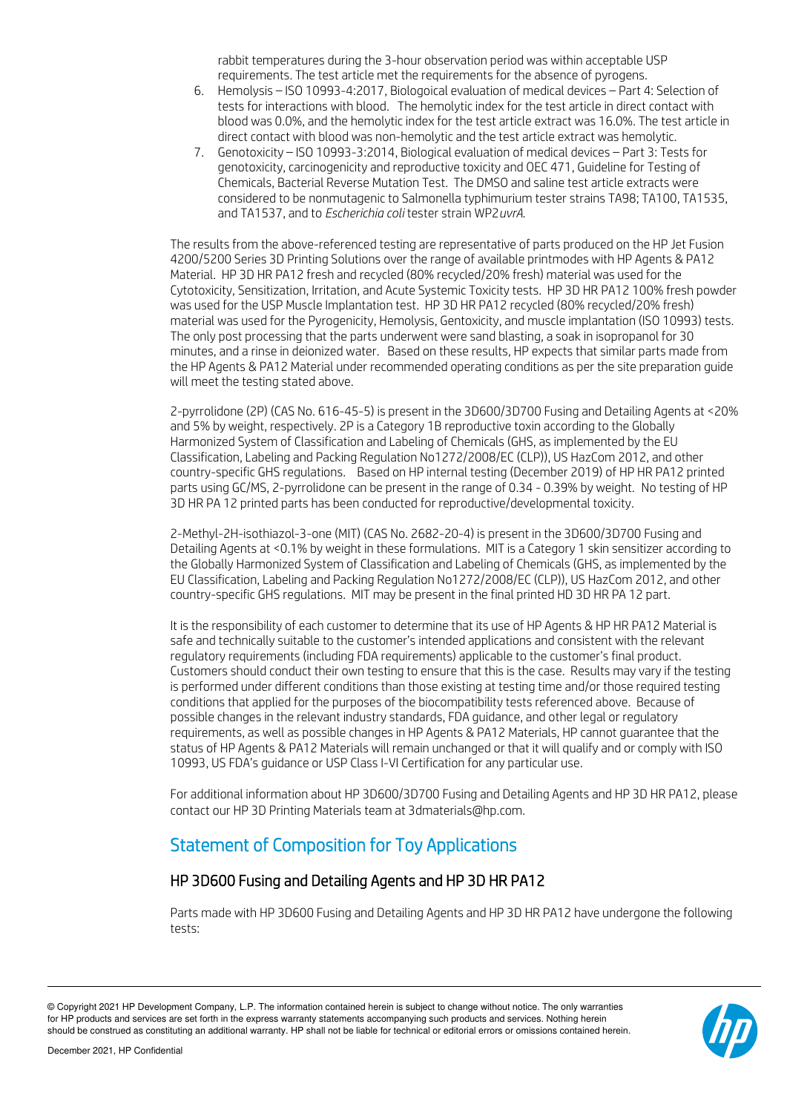rabbit temperatures during the 3-hour observation period was within acceptable USP requirements. The test article met the requirements for the absence of pyrogens.

- 6. Hemolysis ISO 10993-4:2017, Biologoical evaluation of medical devices Part 4: Selection of tests for interactions with blood. The hemolytic index for the test article in direct contact with blood was 0.0%, and the hemolytic index for the test article extract was 16.0%. The test article in direct contact with blood was non-hemolytic and the test article extract was hemolytic.
- 7. Genotoxicity ISO 10993-3:2014, Biological evaluation of medical devices Part 3: Tests for genotoxicity, carcinogenicity and reproductive toxicity and OEC 471, Guideline for Testing of Chemicals, Bacterial Reverse Mutation Test. The DMSO and saline test article extracts were considered to be nonmutagenic to Salmonella typhimurium tester strains TA98; TA100, TA1535, and TA1537, and to *Escherichia coli* tester strain WP2*uvrA*.

The results from the above-referenced testing are representative of parts produced on the HP Jet Fusion 4200/5200 Series 3D Printing Solutions over the range of available printmodes with HP Agents & PA12 Material. HP 3D HR PA12 fresh and recycled (80% recycled/20% fresh) material was used for the Cytotoxicity, Sensitization, Irritation, and Acute Systemic Toxicity tests. HP 3D HR PA12 100% fresh powder was used for the USP Muscle Implantation test. HP 3D HR PA12 recycled (80% recycled/20% fresh) material was used for the Pyrogenicity, Hemolysis, Gentoxicity, and muscle implantation (ISO 10993) tests. The only post processing that the parts underwent were sand blasting, a soak in isopropanol for 30 minutes, and a rinse in deionized water. Based on these results, HP expects that similar parts made from the HP Agents & PA12 Material under recommended operating conditions as per the site preparation guide will meet the testing stated above.

2-pyrrolidone (2P) (CAS No. 616-45-5) is present in the 3D600/3D700 Fusing and Detailing Agents at <20% and 5% by weight, respectively. 2P is a Category 1B reproductive toxin according to the Globally Harmonized System of Classification and Labeling of Chemicals (GHS, as implemented by the EU Classification, Labeling and Packing Regulation No1272/2008/EC (CLP)), US HazCom 2012, and other country-specific GHS regulations. Based on HP internal testing (December 2019) of HP HR PA12 printed parts using GC/MS, 2-pyrrolidone can be present in the range of 0.34 - 0.39% by weight. No testing of HP 3D HR PA 12 printed parts has been conducted for reproductive/developmental toxicity.

2-Methyl-2H-isothiazol-3-one (MIT) (CAS No. 2682-20-4) is present in the 3D600/3D700 Fusing and Detailing Agents at <0.1% by weight in these formulations. MIT is a Category 1 skin sensitizer according to the Globally Harmonized System of Classification and Labeling of Chemicals (GHS, as implemented by the EU Classification, Labeling and Packing Regulation No1272/2008/EC (CLP)), US HazCom 2012, and other country-specific GHS regulations. MIT may be present in the final printed HD 3D HR PA 12 part.

It is the responsibility of each customer to determine that its use of HP Agents & HP HR PA12 Material is safe and technically suitable to the customer's intended applications and consistent with the relevant regulatory requirements (including FDA requirements) applicable to the customer's final product. Customers should conduct their own testing to ensure that this is the case. Results may vary if the testing is performed under different conditions than those existing at testing time and/or those required testing conditions that applied for the purposes of the biocompatibility tests referenced above. Because of possible changes in the relevant industry standards, FDA guidance, and other legal or regulatory requirements, as well as possible changes in HP Agents & PA12 Materials, HP cannot guarantee that the status of HP Agents & PA12 Materials will remain unchanged or that it will qualify and or comply with ISO 10993, US FDA's guidance or USP Class I-VI Certification for any particular use.

For additional information about HP 3D600/3D700 Fusing and Detailing Agents and HP 3D HR PA12, please contact our HP 3D Printing Materials team at 3dmaterials@hp.com.

# Statement of Composition for Toy Applications

# HP 3D600 Fusing and Detailing Agents and HP 3D HR PA12

Parts made with HP 3D600 Fusing and Detailing Agents and HP 3D HR PA12 have undergone the following tests: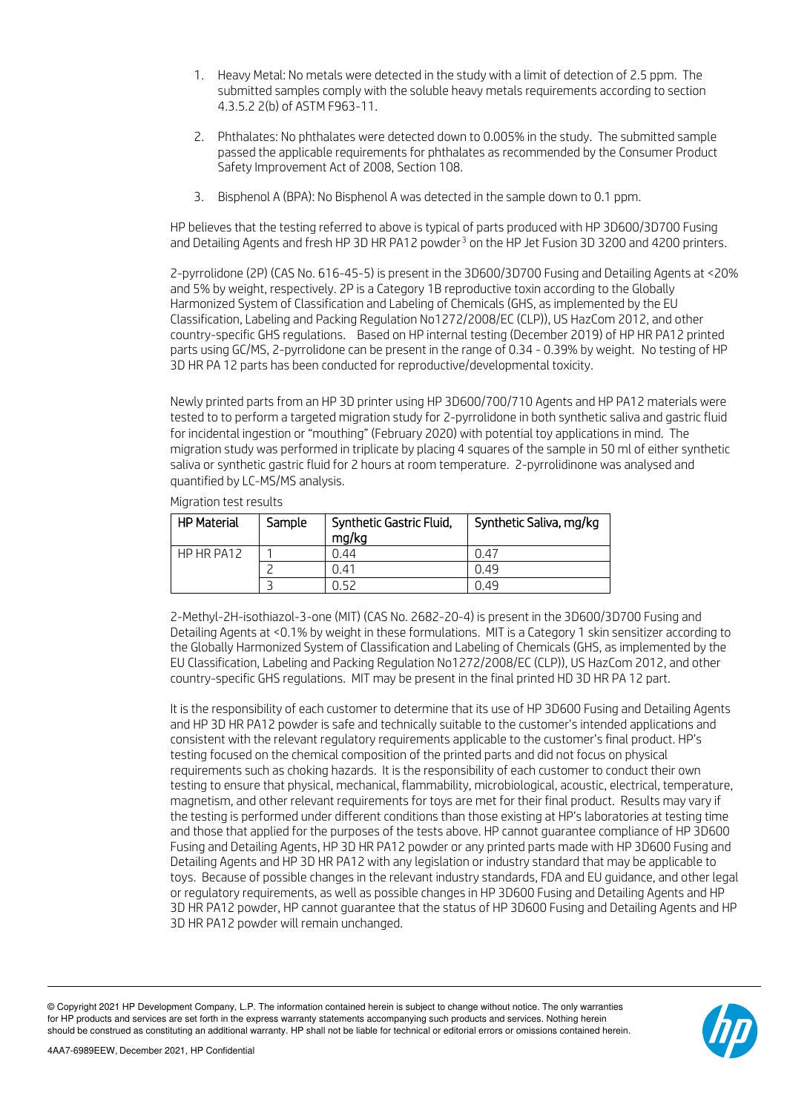- 1. Heavy Metal: No metals were detected in the study with a limit of detection of 2.5 ppm. The submitted samples comply with the soluble heavy metals requirements according to section 4.3.5.2 2(b) of ASTM F963-11.
- 2. Phthalates: No phthalates were detected down to 0.005% in the study. The submitted sample passed the applicable requirements for phthalates as recommended by the Consumer Product Safety Improvement Act of 2008, Section 108.
- 3. Bisphenol A (BPA): No Bisphenol A was detected in the sample down to 0.1 ppm.

HP believes that the testing referred to above is typical of parts produced with HP 3D600/3D700 Fusing and Detailing Agents and fresh HP [3](#page-6-0)D HR PA12 powder<sup>3</sup> on the HP Jet Fusion 3D 3200 and 4200 printers.

2-pyrrolidone (2P) (CAS No. 616-45-5) is present in the 3D600/3D700 Fusing and Detailing Agents at <20% and 5% by weight, respectively. 2P is a Category 1B reproductive toxin according to the Globally Harmonized System of Classification and Labeling of Chemicals (GHS, as implemented by the EU Classification, Labeling and Packing Regulation No1272/2008/EC (CLP)), US HazCom 2012, and other country-specific GHS regulations. Based on HP internal testing (December 2019) of HP HR PA12 printed parts using GC/MS, 2-pyrrolidone can be present in the range of 0.34 - 0.39% by weight. No testing of HP 3D HR PA 12 parts has been conducted for reproductive/developmental toxicity.

Newly printed parts from an HP 3D printer using HP 3D600/700/710 Agents and HP PA12 materials were tested to to perform a targeted migration study for 2-pyrrolidone in both synthetic saliva and gastric fluid for incidental ingestion or "mouthing" (February 2020) with potential toy applications in mind. The migration study was performed in triplicate by placing 4 squares of the sample in 50 ml of either synthetic saliva or synthetic gastric fluid for 2 hours at room temperature. 2-pyrrolidinone was analysed and quantified by LC-MS/MS analysis.

HP Material | Sample | Synthetic Gastric Fluid, mg/kg Synthetic Saliva, mg/kg HP HR PA12 1 0.44 0.47 2 0.41 0.49 3 0.52 0.49

Migration test results

2-Methyl-2H-isothiazol-3-one (MIT) (CAS No. 2682-20-4) is present in the 3D600/3D700 Fusing and Detailing Agents at <0.1% by weight in these formulations. MIT is a Category 1 skin sensitizer according to the Globally Harmonized System of Classification and Labeling of Chemicals (GHS, as implemented by the EU Classification, Labeling and Packing Regulation No1272/2008/EC (CLP)), US HazCom 2012, and other country-specific GHS regulations. MIT may be present in the final printed HD 3D HR PA 12 part.

<span id="page-6-0"></span>It is the responsibility of each customer to determine that its use of HP 3D600 Fusing and Detailing Agents and HP 3D HR PA12 powder is safe and technically suitable to the customer's intended applications and consistent with the relevant regulatory requirements applicable to the customer's final product. HP's testing focused on the chemical composition of the printed parts and did not focus on physical requirements such as choking hazards. It is the responsibility of each customer to conduct their own testing to ensure that physical, mechanical, flammability, microbiological, acoustic, electrical, temperature, magnetism, and other relevant requirements for toys are met for their final product. Results may vary if the testing is performed under different conditions than those existing at HP's laboratories at testing time and those that applied for the purposes of the tests above. HP cannot guarantee compliance of HP 3D600 Fusing and Detailing Agents, HP 3D HR PA12 powder or any printed parts made with HP 3D600 Fusing and Detailing Agents and HP 3D HR PA12 with any legislation or industry standard that may be applicable to toys. Because of possible changes in the relevant industry standards, FDA and EU guidance, and other legal or regulatory requirements, as well as possible changes in HP 3D600 Fusing and Detailing Agents and HP 3D HR PA12 powder, HP cannot guarantee that the status of HP 3D600 Fusing and Detailing Agents and HP 3D HR PA12 powder will remain unchanged.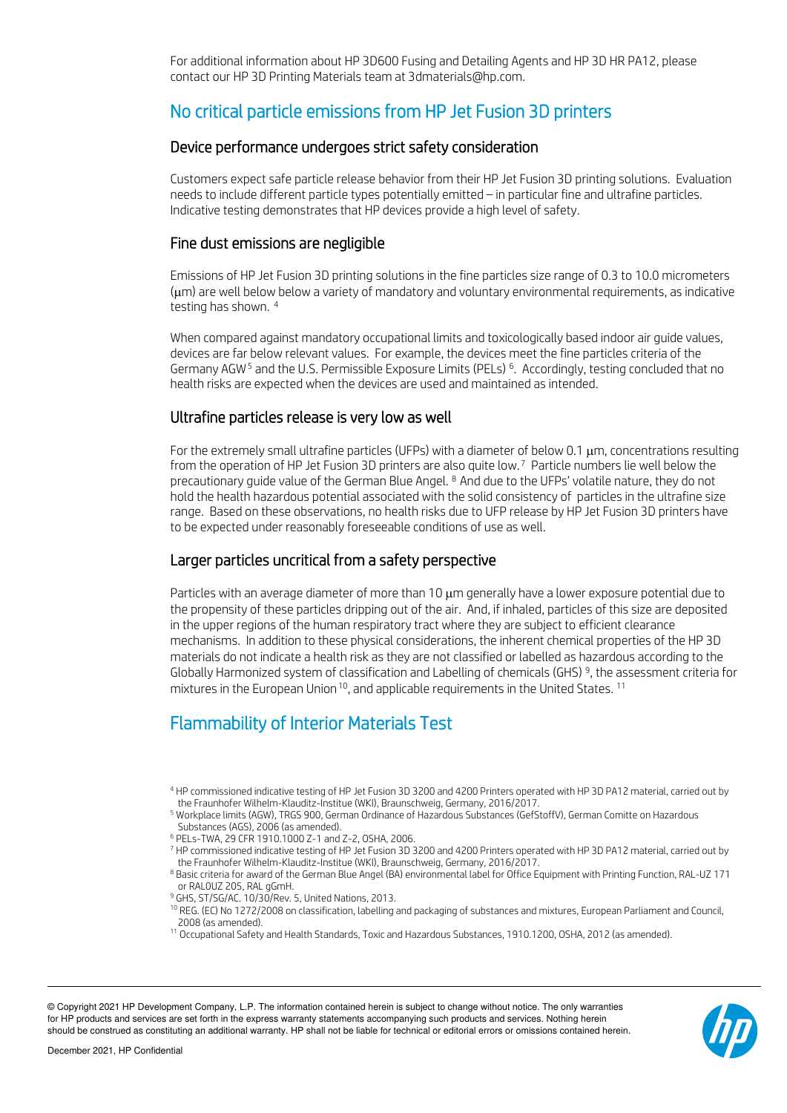For additional information about HP 3D600 Fusing and Detailing Agents and HP 3D HR PA12, please contact our HP 3D Printing Materials team at 3dmaterials@hp.com.

# No critical particle emissions from HP Jet Fusion 3D printers

#### Device performance undergoes strict safety consideration

Customers expect safe particle release behavior from their HP Jet Fusion 3D printing solutions. Evaluation needs to include different particle types potentially emitted – in particular fine and ultrafine particles. Indicative testing demonstrates that HP devices provide a high level of safety.

#### Fine dust emissions are negligible

Emissions of HP Jet Fusion 3D printing solutions in the fine particles size range of 0.3 to 10.0 micrometers (µm) are well below below a variety of mandatory and voluntary environmental requirements, as indicative testing has shown. [4](#page-7-0)

When compared against mandatory occupational limits and toxicologically based indoor air guide values, devices are far below relevant values. For example, the devices meet the fine particles criteria of the Germany AGW<sup>[5](#page-7-1)</sup> and the U.S. Permissible Exposure Limits (PELs)<sup>[6](#page-7-2)</sup>. Accordingly, testing concluded that no health risks are expected when the devices are used and maintained as intended.

### Ultrafine particles release is very low as well

For the extremely small ultrafine particles (UFPs) with a diameter of below 0.1 µm, concentrations resulting from the operation of HP Jet Fusion 3D printers are also quite low. [7](#page-7-3) Particle numbers lie well below the precautionary guide value of the German Blue Angel. <sup>[8](#page-7-4)</sup> And due to the UFPs' volatile nature, they do not hold the health hazardous potential associated with the solid consistency of particles in the ultrafine size range. Based on these observations, no health risks due to UFP release by HP Jet Fusion 3D printers have to be expected under reasonably foreseeable conditions of use as well.

### Larger particles uncritical from a safety perspective

Particles with an average diameter of more than 10  $\mu$ m generally have a lower exposure potential due to the propensity of these particles dripping out of the air. And, if inhaled, particles of this size are deposited in the upper regions of the human respiratory tract where they are subject to efficient clearance mechanisms. In addition to these physical considerations, the inherent chemical properties of the HP 3D materials do not indicate a health risk as they are not classified or labelled as hazardous according to the Globally Harmonized system of classification and Labelling of chemicals (GHS) [9](#page-7-5), the assessment criteria for mixtures in the European Union <sup>[10](#page-7-6)</sup>, and applicable requirements in the United States. <sup>[11](#page-7-7)</sup>

# Flammability of Interior Materials Test

- <sup>9</sup> GHS, ST/SG/AC, 10/30/Rev. 5, United Nations, 2013.
- <sup>10</sup> REG. (EC) No 1272/2008 on classification, labelling and packaging of substances and mixtures, European Parliament and Council, 2008 (as amended).
- <span id="page-7-7"></span><span id="page-7-6"></span><span id="page-7-5"></span><sup>11</sup> Occupational Safety and Health Standards, Toxic and Hazardous Substances, 1910.1200, OSHA, 2012 (as amended).

<span id="page-7-0"></span><sup>4</sup> HP commissioned indicative testing of HP Jet Fusion 3D 3200 and 4200 Printers operated with HP 3D PA12 material, carried out by the Fraunhofer Wilhelm-Klauditz-Institue (WKI), Braunschweig, Germany, 2016/2017.

<span id="page-7-1"></span><sup>5</sup> Workplace limits (AGW), TRGS 900, German Ordinance of Hazardous Substances (GefStoffV), German Comitte on Hazardous Substances (AGS), 2006 (as amended).

<sup>6</sup> PELs-TWA, 29 CFR 1910.1000 Z-1 and Z-2, OSHA, 2006.

<span id="page-7-3"></span><span id="page-7-2"></span><sup>7</sup> HP commissioned indicative testing of HP Jet Fusion 3D 3200 and 4200 Printers operated with HP 3D PA12 material, carried out by the Fraunhofer Wilhelm-Klauditz-Institue (WKI), Braunschweig, Germany, 2016/2017.

<span id="page-7-4"></span><sup>8</sup> Basic criteria for award of the German Blue Angel (BA) environmental label for Office Equipment with Printing Function, RAL-UZ 171 or RAL0UZ 205, RAL gGmH.